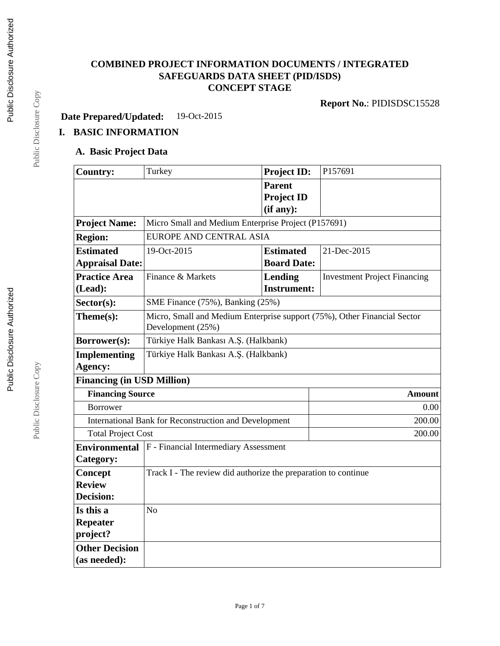#### **COMBINED PROJECT INFORMATION DOCUMENTS / INTEGRATED SAFEGUARDS DATA SHEET (PID/ISDS) CONCEPT STAGE**

**Report No.**: PIDISDSC15528

**Date Prepared/Updated:** 19-Oct-2015

# **I. BASIC INFORMATION**

#### **A. Basic Project Data**

| <b>Country:</b>                                              | Turkey                                                                                        | <b>Project ID:</b>              | P157691                             |  |  |
|--------------------------------------------------------------|-----------------------------------------------------------------------------------------------|---------------------------------|-------------------------------------|--|--|
|                                                              |                                                                                               | <b>Parent</b>                   |                                     |  |  |
|                                                              |                                                                                               | <b>Project ID</b>               |                                     |  |  |
|                                                              |                                                                                               | (if any):                       |                                     |  |  |
| <b>Project Name:</b>                                         | Micro Small and Medium Enterprise Project (P157691)                                           |                                 |                                     |  |  |
| <b>Region:</b>                                               | <b>EUROPE AND CENTRAL ASIA</b>                                                                |                                 |                                     |  |  |
| <b>Estimated</b>                                             | 19-Oct-2015                                                                                   | 21-Dec-2015<br><b>Estimated</b> |                                     |  |  |
| <b>Appraisal Date:</b>                                       |                                                                                               | <b>Board Date:</b>              |                                     |  |  |
| <b>Practice Area</b>                                         | Finance & Markets                                                                             | Lending                         | <b>Investment Project Financing</b> |  |  |
| (Lead):                                                      |                                                                                               | <b>Instrument:</b>              |                                     |  |  |
| Sector(s):                                                   | SME Finance (75%), Banking (25%)                                                              |                                 |                                     |  |  |
| Theme(s):                                                    | Micro, Small and Medium Enterprise support (75%), Other Financial Sector<br>Development (25%) |                                 |                                     |  |  |
| Borrower(s):                                                 | Türkiye Halk Bankası A.Ş. (Halkbank)                                                          |                                 |                                     |  |  |
| <b>Implementing</b>                                          | Türkiye Halk Bankası A.Ş. (Halkbank)                                                          |                                 |                                     |  |  |
| Agency:                                                      |                                                                                               |                                 |                                     |  |  |
| <b>Financing (in USD Million)</b>                            |                                                                                               |                                 |                                     |  |  |
| <b>Financing Source</b>                                      |                                                                                               |                                 | <b>Amount</b>                       |  |  |
| <b>Borrower</b>                                              |                                                                                               |                                 | 0.00                                |  |  |
| <b>International Bank for Reconstruction and Development</b> |                                                                                               |                                 | 200.00                              |  |  |
| <b>Total Project Cost</b>                                    |                                                                                               |                                 | 200.00                              |  |  |
| <b>Environmental</b>                                         | F - Financial Intermediary Assessment                                                         |                                 |                                     |  |  |
| Category:                                                    |                                                                                               |                                 |                                     |  |  |
| Concept                                                      | Track I - The review did authorize the preparation to continue                                |                                 |                                     |  |  |
| <b>Review</b>                                                |                                                                                               |                                 |                                     |  |  |
| <b>Decision:</b>                                             |                                                                                               |                                 |                                     |  |  |
| Is this a                                                    | No                                                                                            |                                 |                                     |  |  |
| <b>Repeater</b>                                              |                                                                                               |                                 |                                     |  |  |
| project?                                                     |                                                                                               |                                 |                                     |  |  |
| <b>Other Decision</b>                                        |                                                                                               |                                 |                                     |  |  |
| (as needed):                                                 |                                                                                               |                                 |                                     |  |  |

Public Disclosure Copy

Public Disclosure Copy

Public Disclosure Copy Public Disclosure Copy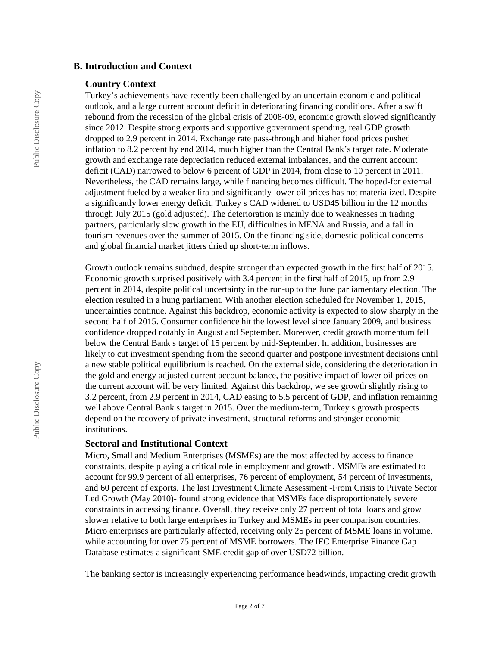#### **B. Introduction and Context**

#### **Country Context**

Turkey's achievements have recently been challenged by an uncertain economic and political outlook, and a large current account deficit in deteriorating financing conditions. After a swift rebound from the recession of the global crisis of 2008-09, economic growth slowed significantly since 2012. Despite strong exports and supportive government spending, real GDP growth dropped to 2.9 percent in 2014. Exchange rate pass-through and higher food prices pushed inflation to 8.2 percent by end 2014, much higher than the Central Bank's target rate. Moderate growth and exchange rate depreciation reduced external imbalances, and the current account deficit (CAD) narrowed to below 6 percent of GDP in 2014, from close to 10 percent in 2011. Nevertheless, the CAD remains large, while financing becomes difficult. The hoped-for external adjustment fueled by a weaker lira and significantly lower oil prices has not materialized. Despite a significantly lower energy deficit, Turkey s CAD widened to USD45 billion in the 12 months through July 2015 (gold adjusted). The deterioration is mainly due to weaknesses in trading partners, particularly slow growth in the EU, difficulties in MENA and Russia, and a fall in tourism revenues over the summer of 2015. On the financing side, domestic political concerns and global financial market jitters dried up short-term inflows.

Growth outlook remains subdued, despite stronger than expected growth in the first half of 2015. Economic growth surprised positively with 3.4 percent in the first half of 2015, up from 2.9 percent in 2014, despite political uncertainty in the run-up to the June parliamentary election. The election resulted in a hung parliament. With another election scheduled for November 1, 2015, uncertainties continue. Against this backdrop, economic activity is expected to slow sharply in the second half of 2015. Consumer confidence hit the lowest level since January 2009, and business confidence dropped notably in August and September. Moreover, credit growth momentum fell below the Central Bank s target of 15 percent by mid-September. In addition, businesses are likely to cut investment spending from the second quarter and postpone investment decisions until a new stable political equilibrium is reached. On the external side, considering the deterioration in the gold and energy adjusted current account balance, the positive impact of lower oil prices on the current account will be very limited. Against this backdrop, we see growth slightly rising to 3.2 percent, from 2.9 percent in 2014, CAD easing to 5.5 percent of GDP, and inflation remaining well above Central Bank s target in 2015. Over the medium-term, Turkey s growth prospects depend on the recovery of private investment, structural reforms and stronger economic institutions.

#### **Sectoral and Institutional Context**

Micro, Small and Medium Enterprises (MSMEs) are the most affected by access to finance constraints, despite playing a critical role in employment and growth. MSMEs are estimated to account for 99.9 percent of all enterprises, 76 percent of employment, 54 percent of investments, and 60 percent of exports. The last Investment Climate Assessment -From Crisis to Private Sector Led Growth (May 2010)- found strong evidence that MSMEs face disproportionately severe constraints in accessing finance. Overall, they receive only 27 percent of total loans and grow slower relative to both large enterprises in Turkey and MSMEs in peer comparison countries. Micro enterprises are particularly affected, receiving only 25 percent of MSME loans in volume, while accounting for over 75 percent of MSME borrowers. The IFC Enterprise Finance Gap Database estimates a significant SME credit gap of over USD72 billion.

The banking sector is increasingly experiencing performance headwinds, impacting credit growth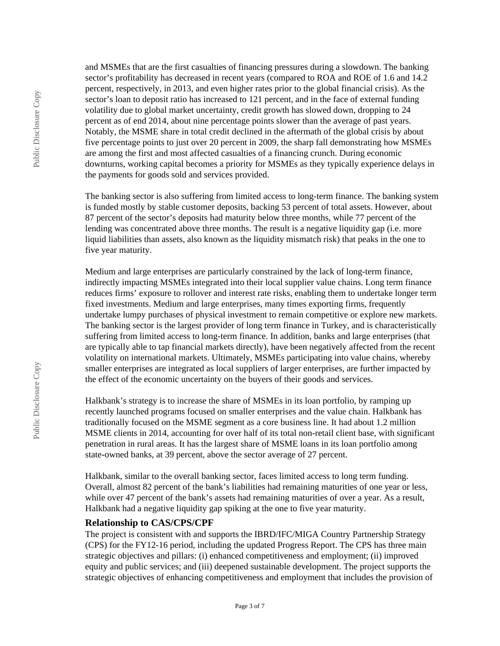and MSMEs that are the first casualties of financing pressures during a slowdown. The banking sector's profitability has decreased in recent years (compared to ROA and ROE of 1.6 and 14.2) percent, respectively, in 2013, and even higher rates prior to the global financial crisis). As the sector's loan to deposit ratio has increased to 121 percent, and in the face of external funding volatility due to global market uncertainty, credit growth has slowed down, dropping to 24 percent as of end 2014, about nine percentage points slower than the average of past years. Notably, the MSME share in total credit declined in the aftermath of the global crisis by about five percentage points to just over 20 percent in 2009, the sharp fall demonstrating how MSMEs are among the first and most affected casualties of a financing crunch. During economic downturns, working capital becomes a priority for MSMEs as they typically experience delays in the payments for goods sold and services provided.

The banking sector is also suffering from limited access to long-term finance. The banking system is funded mostly by stable customer deposits, backing 53 percent of total assets. However, about 87 percent of the sector's deposits had maturity below three months, while 77 percent of the lending was concentrated above three months. The result is a negative liquidity gap (i.e. more liquid liabilities than assets, also known as the liquidity mismatch risk) that peaks in the one to five year maturity.

Medium and large enterprises are particularly constrained by the lack of long-term finance, indirectly impacting MSMEs integrated into their local supplier value chains. Long term finance reduces firms' exposure to rollover and interest rate risks, enabling them to undertake longer term fixed investments. Medium and large enterprises, many times exporting firms, frequently undertake lumpy purchases of physical investment to remain competitive or explore new markets. The banking sector is the largest provider of long term finance in Turkey, and is characteristically suffering from limited access to long-term finance. In addition, banks and large enterprises (that are typically able to tap financial markets directly), have been negatively affected from the recent volatility on international markets. Ultimately, MSMEs participating into value chains, whereby smaller enterprises are integrated as local suppliers of larger enterprises, are further impacted by the effect of the economic uncertainty on the buyers of their goods and services.

Halkbank's strategy is to increase the share of MSMEs in its loan portfolio, by ramping up recently launched programs focused on smaller enterprises and the value chain. Halkbank has traditionally focused on the MSME segment as a core business line. It had about 1.2 million MSME clients in 2014, accounting for over half of its total non-retail client base, with significant penetration in rural areas. It has the largest share of MSME loans in its loan portfolio among state-owned banks, at 39 percent, above the sector average of 27 percent.

Halkbank, similar to the overall banking sector, faces limited access to long term funding. Overall, almost 82 percent of the bank's liabilities had remaining maturities of one year or less, while over 47 percent of the bank's assets had remaining maturities of over a year. As a result, Halkbank had a negative liquidity gap spiking at the one to five year maturity.

#### **Relationship to CAS/CPS/CPF**

The project is consistent with and supports the IBRD/IFC/MIGA Country Partnership Strategy (CPS) for the FY12-16 period, including the updated Progress Report. The CPS has three main strategic objectives and pillars: (i) enhanced competitiveness and employment; (ii) improved equity and public services; and (iii) deepened sustainable development. The project supports the strategic objectives of enhancing competitiveness and employment that includes the provision of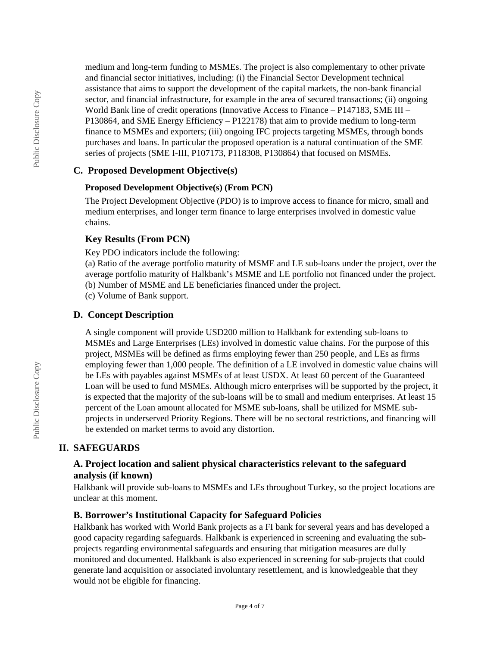medium and long-term funding to MSMEs. The project is also complementary to other private and financial sector initiatives, including: (i) the Financial Sector Development technical assistance that aims to support the development of the capital markets, the non-bank financial sector, and financial infrastructure, for example in the area of secured transactions; (ii) ongoing World Bank line of credit operations (Innovative Access to Finance – P147183, SME III – P130864, and SME Energy Efficiency – P122178) that aim to provide medium to long-term finance to MSMEs and exporters; (iii) ongoing IFC projects targeting MSMEs, through bonds purchases and loans. In particular the proposed operation is a natural continuation of the SME series of projects (SME I-III, P107173, P118308, P130864) that focused on MSMEs.

#### **C. Proposed Development Objective(s)**

#### **Proposed Development Objective(s) (From PCN)**

The Project Development Objective (PDO) is to improve access to finance for micro, small and medium enterprises, and longer term finance to large enterprises involved in domestic value chains.

#### **Key Results (From PCN)**

Key PDO indicators include the following:

(a) Ratio of the average portfolio maturity of MSME and LE sub-loans under the project, over the average portfolio maturity of Halkbank's MSME and LE portfolio not financed under the project. (b) Number of MSME and LE beneficiaries financed under the project.

(c) Volume of Bank support.

#### **D. Concept Description**

A single component will provide USD200 million to Halkbank for extending sub-loans to MSMEs and Large Enterprises (LEs) involved in domestic value chains. For the purpose of this project, MSMEs will be defined as firms employing fewer than 250 people, and LEs as firms employing fewer than 1,000 people. The definition of a LE involved in domestic value chains will be LEs with payables against MSMEs of at least USDX. At least 60 percent of the Guaranteed Loan will be used to fund MSMEs. Although micro enterprises will be supported by the project, it is expected that the majority of the sub-loans will be to small and medium enterprises. At least 15 percent of the Loan amount allocated for MSME sub-loans, shall be utilized for MSME subprojects in underserved Priority Regions. There will be no sectoral restrictions, and financing will be extended on market terms to avoid any distortion.

## **II. SAFEGUARDS**

#### **A. Project location and salient physical characteristics relevant to the safeguard analysis (if known)**

Halkbank will provide sub-loans to MSMEs and LEs throughout Turkey, so the project locations are unclear at this moment.

#### **B. Borrower's Institutional Capacity for Safeguard Policies**

Halkbank has worked with World Bank projects as a FI bank for several years and has developed a good capacity regarding safeguards. Halkbank is experienced in screening and evaluating the subprojects regarding environmental safeguards and ensuring that mitigation measures are dully monitored and documented. Halkbank is also experienced in screening for sub-projects that could generate land acquisition or associated involuntary resettlement, and is knowledgeable that they would not be eligible for financing.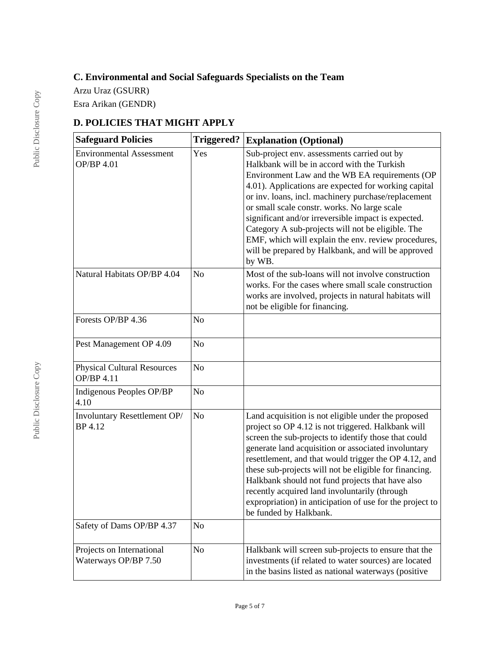# **C. Environmental and Social Safeguards Specialists on the Team**

Arzu Uraz (GSURR)

Esra Arikan (GENDR)

# **D. POLICIES THAT MIGHT APPLY**

| <b>Safeguard Policies</b>                               | <b>Triggered?</b> | <b>Explanation (Optional)</b>                                                                                                                                                                                                                                                                                                                                                                                                                                                                                                                  |
|---------------------------------------------------------|-------------------|------------------------------------------------------------------------------------------------------------------------------------------------------------------------------------------------------------------------------------------------------------------------------------------------------------------------------------------------------------------------------------------------------------------------------------------------------------------------------------------------------------------------------------------------|
| <b>Environmental Assessment</b><br>OP/BP 4.01           | Yes               | Sub-project env. assessments carried out by<br>Halkbank will be in accord with the Turkish<br>Environment Law and the WB EA requirements (OP<br>4.01). Applications are expected for working capital<br>or inv. loans, incl. machinery purchase/replacement<br>or small scale constr. works. No large scale<br>significant and/or irreversible impact is expected.<br>Category A sub-projects will not be eligible. The<br>EMF, which will explain the env. review procedures,<br>will be prepared by Halkbank, and will be approved<br>by WB. |
| Natural Habitats OP/BP 4.04                             | N <sub>o</sub>    | Most of the sub-loans will not involve construction<br>works. For the cases where small scale construction<br>works are involved, projects in natural habitats will<br>not be eligible for financing.                                                                                                                                                                                                                                                                                                                                          |
| Forests OP/BP 4.36                                      | N <sub>o</sub>    |                                                                                                                                                                                                                                                                                                                                                                                                                                                                                                                                                |
| Pest Management OP 4.09                                 | N <sub>o</sub>    |                                                                                                                                                                                                                                                                                                                                                                                                                                                                                                                                                |
| <b>Physical Cultural Resources</b><br><b>OP/BP 4.11</b> | N <sub>o</sub>    |                                                                                                                                                                                                                                                                                                                                                                                                                                                                                                                                                |
| Indigenous Peoples OP/BP<br>4.10                        | N <sub>o</sub>    |                                                                                                                                                                                                                                                                                                                                                                                                                                                                                                                                                |
| Involuntary Resettlement OP/<br>BP 4.12                 | $\rm No$          | Land acquisition is not eligible under the proposed<br>project so OP 4.12 is not triggered. Halkbank will<br>screen the sub-projects to identify those that could<br>generate land acquisition or associated involuntary<br>resettlement, and that would trigger the OP 4.12, and<br>these sub-projects will not be eligible for financing.<br>Halkbank should not fund projects that have also<br>recently acquired land involuntarily (through<br>expropriation) in anticipation of use for the project to<br>be funded by Halkbank.         |
| Safety of Dams OP/BP 4.37                               | N <sub>o</sub>    |                                                                                                                                                                                                                                                                                                                                                                                                                                                                                                                                                |
| Projects on International<br>Waterways OP/BP 7.50       | N <sub>0</sub>    | Halkbank will screen sub-projects to ensure that the<br>investments (if related to water sources) are located<br>in the basins listed as national waterways (positive                                                                                                                                                                                                                                                                                                                                                                          |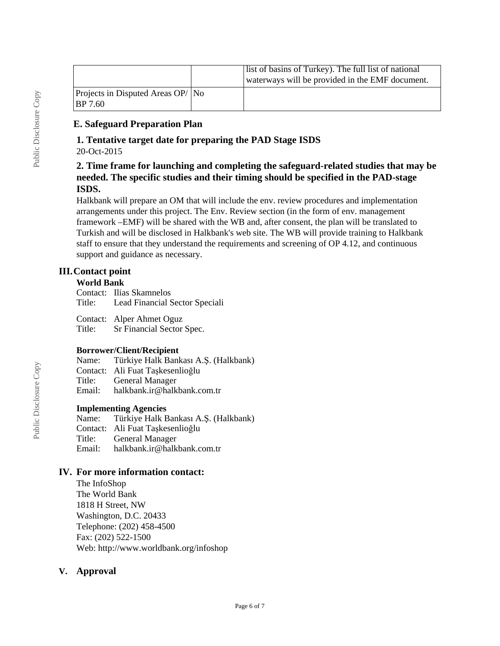|                                                      | list of basins of Turkey). The full list of national<br>waterways will be provided in the EMF document. |
|------------------------------------------------------|---------------------------------------------------------------------------------------------------------|
| $ $ Projects in Disputed Areas OP/ $ $ No<br>BP 7.60 |                                                                                                         |

#### **E. Safeguard Preparation Plan**

# **1. Tentative target date for preparing the PAD Stage ISDS**

20-Oct-2015

#### **2. Time frame for launching and completing the safeguard-related studies that may be needed. The specific studies and their timing should be specified in the PAD-stage ISDS.**

Halkbank will prepare an OM that will include the env. review procedures and implementation arrangements under this project. The Env. Review section (in the form of env. management framework –EMF) will be shared with the WB and, after consent, the plan will be translated to Turkish and will be disclosed in Halkbank's web site. The WB will provide training to Halkbank staff to ensure that they understand the requirements and screening of OP 4.12, and continuous support and guidance as necessary.

## **III.Contact point**

#### **World Bank**

Contact: Ilias Skamnelos Title: Lead Financial Sector Speciali

Contact: Alper Ahmet Oguz Title: Sr Financial Sector Spec.

#### **Borrower/Client/Recipient**

Name: Türkiye Halk Bankası A.Ş. (Halkbank)

Contact: Ali Fuat Taşkesenlioğlu

Title: General Manager<br>Email: halkbank.ir@halk

halkbank.ir@halkbank.com.tr

# **Implementing Agencies**<br>Name: Türkive Halk E

Türkiye Halk Bankası A.Ş. (Halkbank) Contact: Ali Fuat Taşkesenlioğlu Title: General Manager<br>Email: halkbank.ir@halk halkbank.ir@halkbank.com.tr

#### **IV. For more information contact:**

The InfoShop The World Bank 1818 H Street, NW Washington, D.C. 20433 Telephone: (202) 458-4500 Fax: (202) 522-1500 Web: http://www.worldbank.org/infoshop

## **V. Approval**